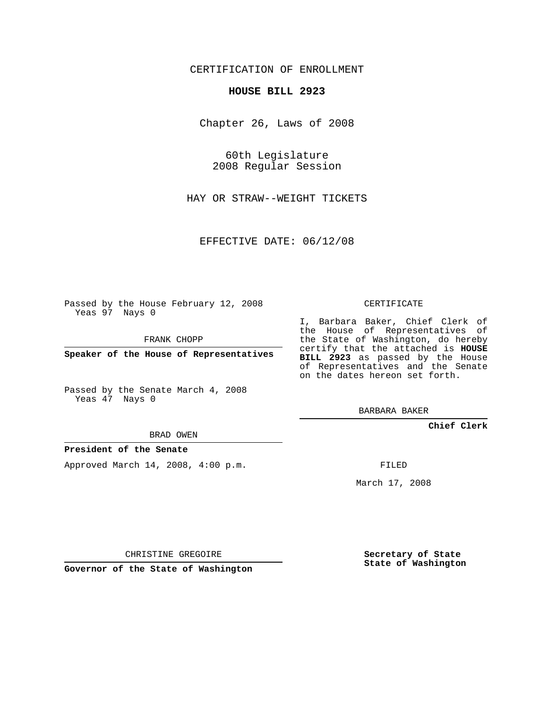CERTIFICATION OF ENROLLMENT

#### **HOUSE BILL 2923**

Chapter 26, Laws of 2008

60th Legislature 2008 Regular Session

HAY OR STRAW--WEIGHT TICKETS

EFFECTIVE DATE: 06/12/08

Passed by the House February 12, 2008 Yeas 97 Nays 0

FRANK CHOPP

**Speaker of the House of Representatives**

Passed by the Senate March 4, 2008 Yeas 47 Nays 0

BRAD OWEN

### **President of the Senate**

Approved March 14, 2008, 4:00 p.m.

CERTIFICATE

I, Barbara Baker, Chief Clerk of the House of Representatives of the State of Washington, do hereby certify that the attached is **HOUSE BILL 2923** as passed by the House of Representatives and the Senate on the dates hereon set forth.

BARBARA BAKER

**Chief Clerk**

FILED

March 17, 2008

CHRISTINE GREGOIRE

**Governor of the State of Washington**

**Secretary of State State of Washington**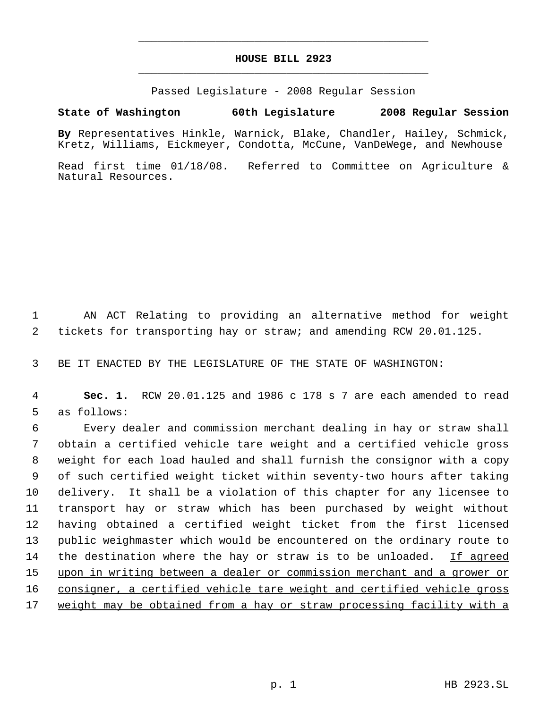## **HOUSE BILL 2923** \_\_\_\_\_\_\_\_\_\_\_\_\_\_\_\_\_\_\_\_\_\_\_\_\_\_\_\_\_\_\_\_\_\_\_\_\_\_\_\_\_\_\_\_\_

\_\_\_\_\_\_\_\_\_\_\_\_\_\_\_\_\_\_\_\_\_\_\_\_\_\_\_\_\_\_\_\_\_\_\_\_\_\_\_\_\_\_\_\_\_

Passed Legislature - 2008 Regular Session

### **State of Washington 60th Legislature 2008 Regular Session**

**By** Representatives Hinkle, Warnick, Blake, Chandler, Hailey, Schmick, Kretz, Williams, Eickmeyer, Condotta, McCune, VanDeWege, and Newhouse

Read first time 01/18/08. Referred to Committee on Agriculture & Natural Resources.

 1 AN ACT Relating to providing an alternative method for weight 2 tickets for transporting hay or straw; and amending RCW 20.01.125.

3 BE IT ENACTED BY THE LEGISLATURE OF THE STATE OF WASHINGTON:

 4 **Sec. 1.** RCW 20.01.125 and 1986 c 178 s 7 are each amended to read 5 as follows:

 Every dealer and commission merchant dealing in hay or straw shall obtain a certified vehicle tare weight and a certified vehicle gross weight for each load hauled and shall furnish the consignor with a copy of such certified weight ticket within seventy-two hours after taking delivery. It shall be a violation of this chapter for any licensee to transport hay or straw which has been purchased by weight without having obtained a certified weight ticket from the first licensed public weighmaster which would be encountered on the ordinary route to the destination where the hay or straw is to be unloaded. If agreed 15 upon in writing between a dealer or commission merchant and a grower or consigner, a certified vehicle tare weight and certified vehicle gross weight may be obtained from a hay or straw processing facility with a